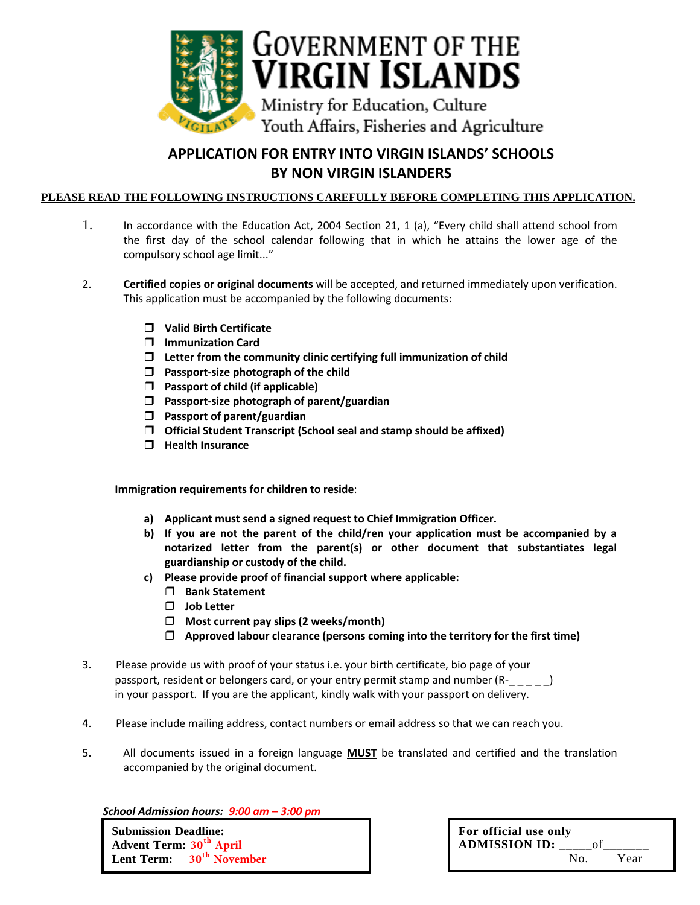

## **APPLICATION FOR ENTRY INTO VIRGIN ISLANDS' SCHOOLS BY NON VIRGIN ISLANDERS**

## **PLEASE READ THE FOLLOWING INSTRUCTIONS CAREFULLY BEFORE COMPLETING THIS APPLICATION.**

- 1. In accordance with the Education Act, 2004 Section 21, 1 (a), "Every child shall attend school from the first day of the school calendar following that in which he attains the lower age of the compulsory school age limit..."
- 2. **Certified copies or original documents** will be accepted, and returned immediately upon verification. This application must be accompanied by the following documents:
	- **Valid Birth Certificate**
	- **Immunization Card**
	- **Letter from the community clinic certifying full immunization of child**
	- **Passport-size photograph of the child**
	- **Passport of child (if applicable)**
	- **Passport-size photograph of parent/guardian**
	- **Passport of parent/guardian**
	- **Official Student Transcript (School seal and stamp should be affixed)**
	- **Health Insurance**

**Immigration requirements for children to reside**:

- **a) Applicant must send a signed request to Chief Immigration Officer.**
- **b) If you are not the parent of the child/ren your application must be accompanied by a notarized letter from the parent(s) or other document that substantiates legal guardianship or custody of the child.**
- **c) Please provide proof of financial support where applicable:**
	- **Bank Statement**
	- **Job Letter**
	- **Most current pay slips (2 weeks/month)**
	- **Approved labour clearance (persons coming into the territory for the first time)**
- 3. Please provide us with proof of your status i.e. your birth certificate, bio page of your passport, resident or belongers card, or your entry permit stamp and number (R-\_ \_ \_ \_ ) in your passport. If you are the applicant, kindly walk with your passport on delivery.
- 4. Please include mailing address, contact numbers or email address so that we can reach you.
- 5. All documents issued in a foreign language **MUST** be translated and certified and the translation accompanied by the original document.

*School Admission hours: 9:00 am – 3:00 pm* 

**Submission Deadline: Advent Term: 30 th April Lent Term: 30th November**

| For official use only<br><b>ADMISSION ID:</b> |     | οť |      |
|-----------------------------------------------|-----|----|------|
|                                               | No. |    | Year |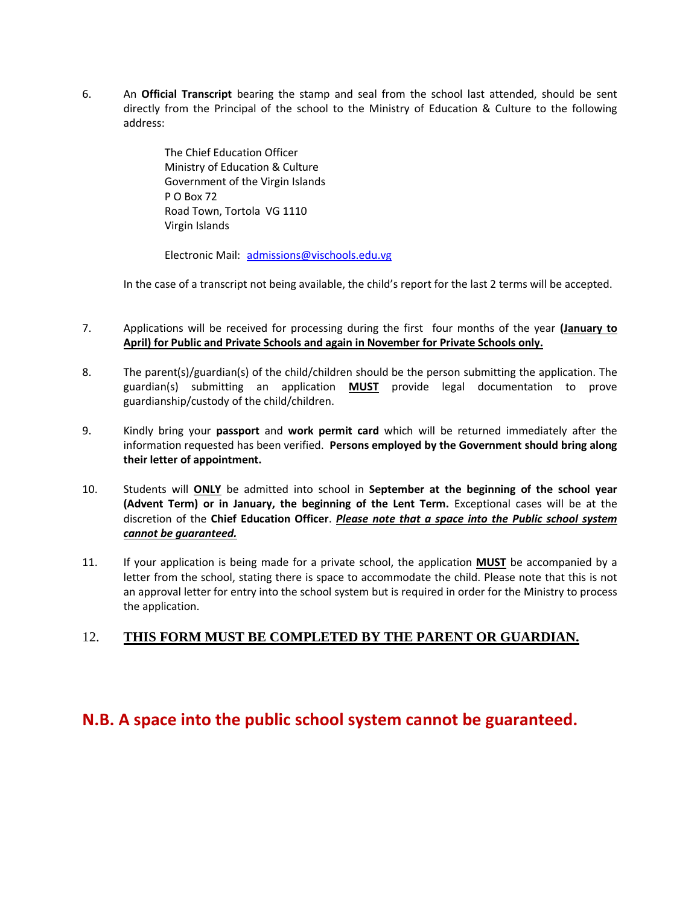6. An **Official Transcript** bearing the stamp and seal from the school last attended, should be sent directly from the Principal of the school to the Ministry of Education & Culture to the following address:

> The Chief Education Officer Ministry of Education & Culture Government of the Virgin Islands P O Box 72 Road Town, Tortola VG 1110 Virgin Islands

Electronic Mail: [admissions@vischools.edu.vg](mailto:admissions@vischools.edu.vg)

In the case of a transcript not being available, the child's report for the last 2 terms will be accepted.

- 7. Applications will be received for processing during the first four months of the year **(January to April) for Public and Private Schools and again in November for Private Schools only.**
- 8. The parent(s)/guardian(s) of the child/children should be the person submitting the application. The guardian(s) submitting an application **MUST** provide legal documentation to prove guardianship/custody of the child/children.
- 9. Kindly bring your **passport** and **work permit card** which will be returned immediately after the information requested has been verified. **Persons employed by the Government should bring along their letter of appointment.**
- 10. Students will **ONLY** be admitted into school in **September at the beginning of the school year (Advent Term) or in January, the beginning of the Lent Term.** Exceptional cases will be at the discretion of the **Chief Education Officer**. *Please note that a space into the Public school system cannot be guaranteed.*
- 11. If your application is being made for a private school, the application **MUST** be accompanied by a letter from the school, stating there is space to accommodate the child. Please note that this is not an approval letter for entry into the school system but is required in order for the Ministry to process the application.

## 12. **THIS FORM MUST BE COMPLETED BY THE PARENT OR GUARDIAN.**

## **N.B. A space into the public school system cannot be guaranteed.**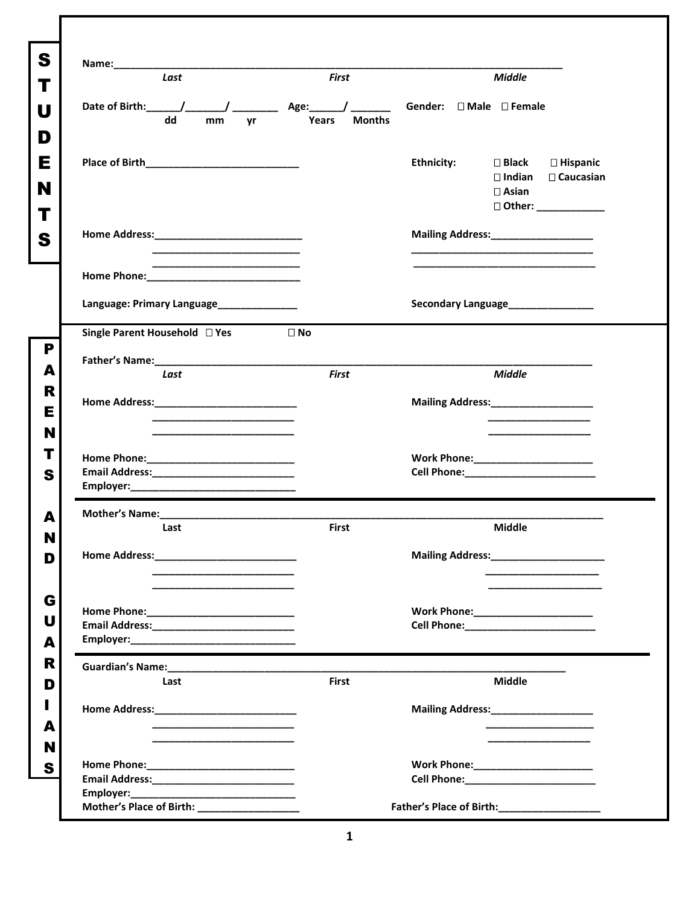| S           | Last                                                                                                                   | <b>First</b>           | <b>Middle</b>                                                                                                                     |
|-------------|------------------------------------------------------------------------------------------------------------------------|------------------------|-----------------------------------------------------------------------------------------------------------------------------------|
| U<br>D      | Date of Birth: _____/_______/ ___________ Age: _____/ __________ Gender: □ Male □ Female<br>dd<br>mm<br><b>yr</b>      | <b>Months</b><br>Years |                                                                                                                                   |
| Е<br>N<br>Т |                                                                                                                        |                        | <b>Ethnicity:</b><br>$\square$ Black<br>□ Hispanic<br>$\Box$ Indian $\Box$ Caucasian<br>$\square$ Asian<br>□ Other: _____________ |
| S           |                                                                                                                        |                        | Mailing Address:_____________________                                                                                             |
|             | the control of the control of the control of the control of the control of the control of                              |                        |                                                                                                                                   |
|             | Language: Primary Language______________                                                                               |                        | Secondary Language______________                                                                                                  |
| P           | Single Parent Household □ Yes                                                                                          | $\Box$ No              |                                                                                                                                   |
| А<br>R<br>Е | Last                                                                                                                   | <b>First</b>           | <b>Middle</b><br>Mailing Address:_____________________                                                                            |
| N<br>т<br>S |                                                                                                                        |                        | Work Phone: __________________________                                                                                            |
| А           |                                                                                                                        |                        | <b>Middle</b>                                                                                                                     |
| N<br>ш<br>D | Last                                                                                                                   | <b>First</b>           | Mailing Address: Mailing Address:                                                                                                 |
| G<br>U<br>A |                                                                                                                        |                        | Work Phone:_______________________                                                                                                |
| R<br>D      | Guardian's Name: Campaign and Campaign and Campaign and Campaign and Campaign and Campaign and Campaign and Ca<br>Last | <b>First</b>           | Middle                                                                                                                            |
| A           |                                                                                                                        |                        | Mailing Address:____________________<br>_____________________                                                                     |
| N<br>S      |                                                                                                                        |                        |                                                                                                                                   |
|             | Mother's Place of Birth: __________________                                                                            |                        | Father's Place of Birth:_________________                                                                                         |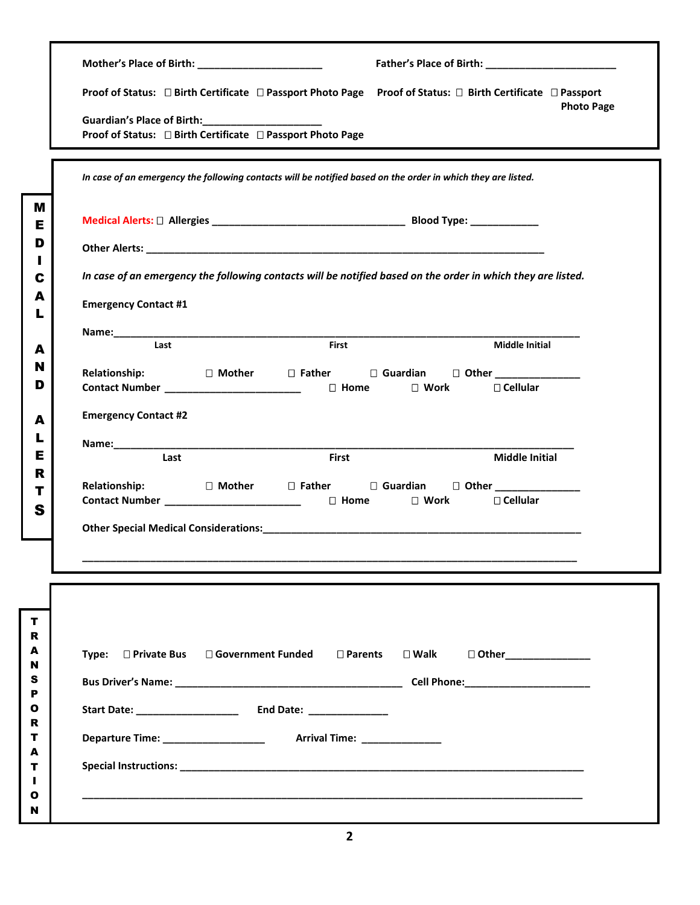|                      | Mother's Place of Birth: _______________________<br>Father's Place of Birth: ________________________                                                            |
|----------------------|------------------------------------------------------------------------------------------------------------------------------------------------------------------|
|                      | Proof of Status: □ Birth Certificate □ Passport Photo Page Proof of Status: □ Birth Certificate □ Passport                                                       |
|                      | <b>Photo Page</b><br>Guardian's Place of Birth: ______________________<br>Proof of Status: □ Birth Certificate □ Passport Photo Page                             |
|                      | In case of an emergency the following contacts will be notified based on the order in which they are listed.                                                     |
|                      |                                                                                                                                                                  |
|                      |                                                                                                                                                                  |
|                      | In case of an emergency the following contacts will be notified based on the order in which they are listed.                                                     |
|                      | <b>Emergency Contact #1</b>                                                                                                                                      |
|                      |                                                                                                                                                                  |
|                      | Last<br>First<br><b>Middle Initial</b>                                                                                                                           |
| <b>Relationship:</b> | Contact Number ___________________________________ □ Home □ Work<br>□ Cellular                                                                                   |
|                      | <b>Emergency Contact #2</b>                                                                                                                                      |
|                      |                                                                                                                                                                  |
|                      | <b>Middle Initial</b><br>Last<br><b>First</b>                                                                                                                    |
|                      | Relationship: D Mother D Father D Guardian D Other _____________________________<br>Contact Number ____________________________ □ Home □ Work<br>$\Box$ Cellular |
|                      |                                                                                                                                                                  |
|                      |                                                                                                                                                                  |
|                      |                                                                                                                                                                  |
|                      |                                                                                                                                                                  |
|                      |                                                                                                                                                                  |
|                      | Type: □ Private Bus □ Government Funded<br>$\square$ Parents<br>$\square$ Walk<br>□ Other________________                                                        |
|                      |                                                                                                                                                                  |
|                      |                                                                                                                                                                  |
|                      |                                                                                                                                                                  |
|                      |                                                                                                                                                                  |
|                      |                                                                                                                                                                  |